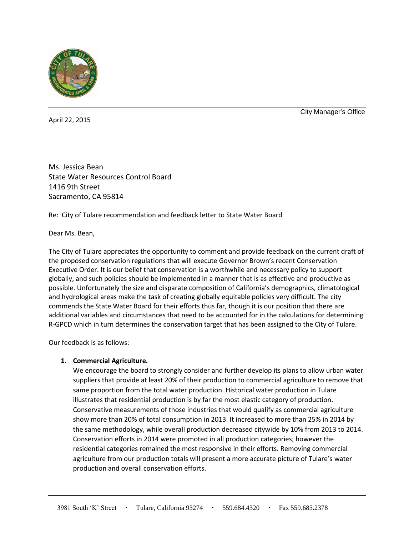

April 22, 2015

City Manager's Office

Ms. Jessica Bean State Water Resources Control Board 1416 9th Street Sacramento, CA 95814

Re: City of Tulare recommendation and feedback letter to State Water Board

## Dear Ms. Bean,

The City of Tulare appreciates the opportunity to comment and provide feedback on the current draft of the proposed conservation regulations that will execute Governor Brown's recent Conservation Executive Order. It is our belief that conservation is a worthwhile and necessary policy to support globally, and such policies should be implemented in a manner that is as effective and productive as possible. Unfortunately the size and disparate composition of California's demographics, climatological and hydrological areas make the task of creating globally equitable policies very difficult. The city commends the State Water Board for their efforts thus far, though it is our position that there are additional variables and circumstances that need to be accounted for in the calculations for determining R-GPCD which in turn determines the conservation target that has been assigned to the City of Tulare.

Our feedback is as follows:

# **1. Commercial Agriculture.**

We encourage the board to strongly consider and further develop its plans to allow urban water suppliers that provide at least 20% of their production to commercial agriculture to remove that same proportion from the total water production. Historical water production in Tulare illustrates that residential production is by far the most elastic category of production. Conservative measurements of those industries that would qualify as commercial agriculture show more than 20% of total consumption in 2013. It increased to more than 25% in 2014 by the same methodology, while overall production decreased citywide by 10% from 2013 to 2014. Conservation efforts in 2014 were promoted in all production categories; however the residential categories remained the most responsive in their efforts. Removing commercial agriculture from our production totals will present a more accurate picture of Tulare's water production and overall conservation efforts.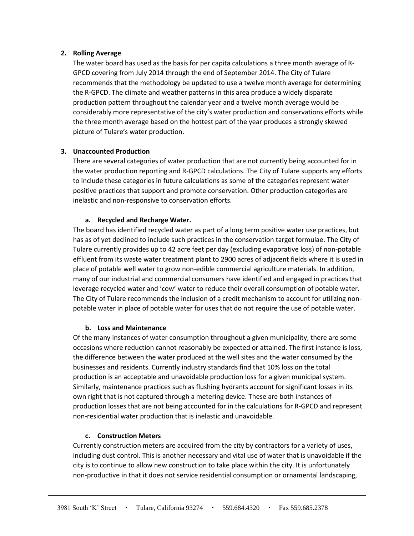## **2. Rolling Average**

The water board has used as the basis for per capita calculations a three month average of R-GPCD covering from July 2014 through the end of September 2014. The City of Tulare recommends that the methodology be updated to use a twelve month average for determining the R-GPCD. The climate and weather patterns in this area produce a widely disparate production pattern throughout the calendar year and a twelve month average would be considerably more representative of the city's water production and conservations efforts while the three month average based on the hottest part of the year produces a strongly skewed picture of Tulare's water production.

## **3. Unaccounted Production**

There are several categories of water production that are not currently being accounted for in the water production reporting and R-GPCD calculations. The City of Tulare supports any efforts to include these categories in future calculations as some of the categories represent water positive practices that support and promote conservation. Other production categories are inelastic and non-responsive to conservation efforts.

## **a. Recycled and Recharge Water.**

The board has identified recycled water as part of a long term positive water use practices, but has as of yet declined to include such practices in the conservation target formulae. The City of Tulare currently provides up to 42 acre feet per day (excluding evaporative loss) of non-potable effluent from its waste water treatment plant to 2900 acres of adjacent fields where it is used in place of potable well water to grow non-edible commercial agriculture materials. In addition, many of our industrial and commercial consumers have identified and engaged in practices that leverage recycled water and 'cow' water to reduce their overall consumption of potable water. The City of Tulare recommends the inclusion of a credit mechanism to account for utilizing nonpotable water in place of potable water for uses that do not require the use of potable water.

### **b. Loss and Maintenance**

Of the many instances of water consumption throughout a given municipality, there are some occasions where reduction cannot reasonably be expected or attained. The first instance is loss, the difference between the water produced at the well sites and the water consumed by the businesses and residents. Currently industry standards find that 10% loss on the total production is an acceptable and unavoidable production loss for a given municipal system. Similarly, maintenance practices such as flushing hydrants account for significant losses in its own right that is not captured through a metering device. These are both instances of production losses that are not being accounted for in the calculations for R-GPCD and represent non-residential water production that is inelastic and unavoidable.

# **c. Construction Meters**

Currently construction meters are acquired from the city by contractors for a variety of uses, including dust control. This is another necessary and vital use of water that is unavoidable if the city is to continue to allow new construction to take place within the city. It is unfortunately non-productive in that it does not service residential consumption or ornamental landscaping,